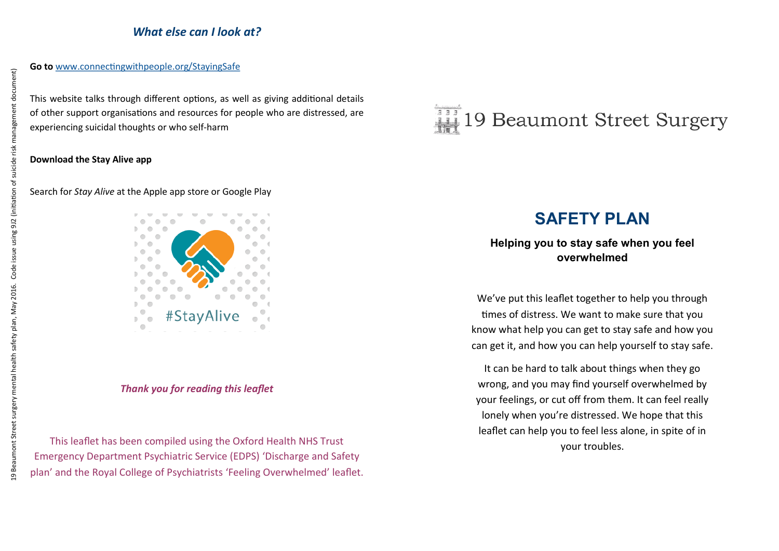# *What else can I look at?*

This website talks through different options, as well as giving additional details of other support organisations and resources for people who are distressed, are experiencing suicidal thoughts or who self-harm

### **Download the Stay Alive app**

### Search for *Stay Alive* at the Apple app store or Google Play



### *Thank you for reading this leaflet*

This leaflet has been compiled using the Oxford Health NHS Trust Emergency Department Psychiatric Service (EDPS) 'Discharge and Safety plan' and the Royal College of Psychiatrists 'Feeling Overwhelmed' leaflet.



# **SAFETY PLAN**

# **Helping you to stay safe when you feel overwhelmed**

We've put this leaflet together to help you through times of distress. We want to make sure that you know what help you can get to stay safe and how you can get it, and how you can help yourself to stay safe.

It can be hard to talk about things when they go wrong, and you may find yourself overwhelmed by your feelings, or cut off from them. It can feel really lonely when you're distressed. We hope that this leaflet can help you to feel less alone, in spite of in your troubles.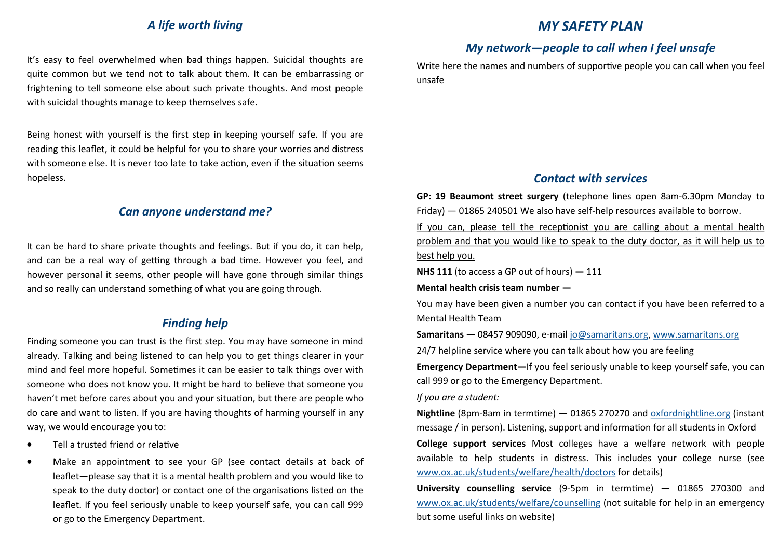## *A life worth living*

It's easy to feel overwhelmed when bad things happen. Suicidal thoughts are quite common but we tend not to talk about them. It can be embarrassing or frightening to tell someone else about such private thoughts. And most people with suicidal thoughts manage to keep themselves safe.

Being honest with yourself is the first step in keeping yourself safe. If you are reading this leaflet, it could be helpful for you to share your worries and distress with someone else. It is never too late to take action, even if the situation seems hopeless.

# *Can anyone understand me?*

It can be hard to share private thoughts and feelings. But if you do, it can help, and can be a real way of getting through a bad time. However you feel, and however personal it seems, other people will have gone through similar things and so really can understand something of what you are going through.

## *Finding help*

Finding someone you can trust is the first step. You may have someone in mind already. Talking and being listened to can help you to get things clearer in your mind and feel more hopeful. Sometimes it can be easier to talk things over with someone who does not know you. It might be hard to believe that someone you haven't met before cares about you and your situation, but there are people who do care and want to listen. If you are having thoughts of harming yourself in any way, we would encourage you to:

- Tell a trusted friend or relative
- Make an appointment to see your GP (see contact details at back of leaflet—please say that it is a mental health problem and you would like to speak to the duty doctor) or contact one of the organisations listed on the leaflet. If you feel seriously unable to keep yourself safe, you can call 999 or go to the Emergency Department.

# *MY SAFETY PLAN*

# *My network—people to call when I feel unsafe*

Write here the names and numbers of supportive people you can call when you feel unsafe

### *Contact with services*

**GP: 19 Beaumont street surgery** (telephone lines open 8am-6.30pm Monday to Friday) — 01865 240501 We also have self-help resources available to borrow. If you can, please tell the receptionist you are calling about a mental health problem and that you would like to speak to the duty doctor, as it will help us to best help you.

**NHS 111** (to access a GP out of hours) **—** 111

**Mental health crisis team number —**

You may have been given a number you can contact if you have been referred to a Mental Health Team

**Samaritans —** 08457 909090, e-mail [jo@samaritans.org,](mailto:oxfordnightline.org) [www.samaritans.org](mailto:oxfordnightline.org)

24/7 helpline service where you can talk about how you are feeling

**Emergency Department—**If you feel seriously unable to keep yourself safe, you can call 999 or go to the Emergency Department.

#### *If you are a student:*

**Nightline** (8pm-8am in termtime) **—** 01865 270270 and [oxfordnightline.org](mailto:oxfordnightline.org) (instant message / in person). Listening, support and information for all students in Oxford

**College support services** Most colleges have a welfare network with people available to help students in distress. This includes your college nurse (see [www.ox.ac.uk/students/welfare/health/doctors](mailto:oxfordnightline.org) for details)

**University counselling service** (9-5pm in termtime) **—** 01865 270300 and [www.ox.ac.uk/students/welfare/counselling](mailto:oxfordnightline.org) (not suitable for help in an emergency but some useful links on website)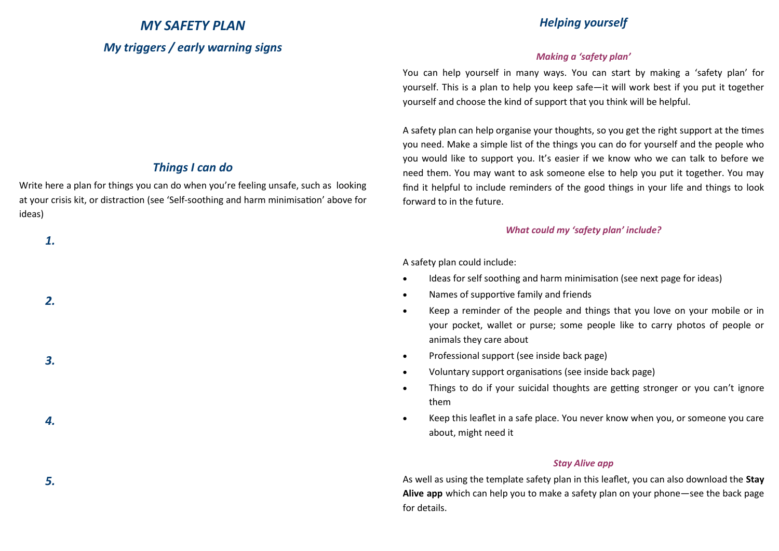# *MY SAFETY PLAN My triggers / early warning signs*

# *Things I can do*

Write here a plan for things you can do when you're feeling unsafe, such as looking at your crisis kit, or distraction (see 'Self-soothing and harm minimisation' above for ideas)

*1.*

*2.*

*3.*

*4.*

*5.*

# *Helping yourself*

### *Making a 'safety plan'*

You can help yourself in many ways. You can start by making a 'safety plan' for yourself. This is a plan to help you keep safe—it will work best if you put it together yourself and choose the kind of support that you think will be helpful.

A safety plan can help organise your thoughts, so you get the right support at the times you need. Make a simple list of the things you can do for yourself and the people who you would like to support you. It's easier if we know who we can talk to before we need them. You may want to ask someone else to help you put it together. You may find it helpful to include reminders of the good things in your life and things to look forward to in the future.

### *What could my 'safety plan' include?*

A safety plan could include:

- Ideas for self soothing and harm minimisation (see next page for ideas)
- Names of supportive family and friends
- Keep a reminder of the people and things that you love on your mobile or in your pocket, wallet or purse; some people like to carry photos of people or animals they care about
- Professional support (see inside back page)
- Voluntary support organisations (see inside back page)
- Things to do if your suicidal thoughts are getting stronger or you can't ignore them
- Keep this leaflet in a safe place. You never know when you, or someone you care about, might need it

### *Stay Alive app*

As well as using the template safety plan in this leaflet, you can also download the **Stay Alive app** which can help you to make a safety plan on your phone—see the back page for details.